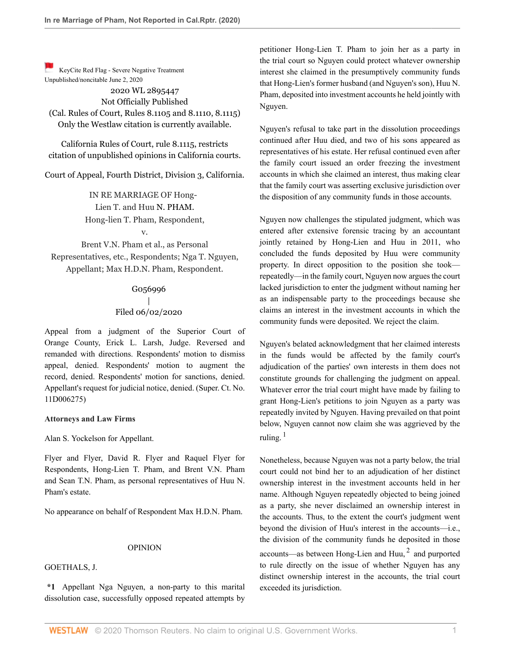[K](https://1.next.westlaw.com/Link/RelatedInformation/Flag?transitionType=Document&originationContext=docHeaderFlag&Rank=0&contextData=(sc.Default) )eyCite Red Flag - Severe Negative Treatment Unpublished/noncitable June 2, 2020

2020 WL 2895447 Not Officially Published (Cal. Rules of Court, Rules 8.1105 and 8.1110, 8.1115) Only the Westlaw citation is currently available.

California Rules of Court, rule 8.1115, restricts citation of unpublished opinions in California courts.

Court of Appeal, Fourth District, Division 3, California.

IN RE MARRIAGE OF Hong-Lien T. and Huu [N. PHAM.](http://www.westlaw.com/Search/Results.html?query=advanced%3a+OAID(5049669374)&saveJuris=False&contentType=BUSINESS-INVESTIGATOR&startIndex=1&contextData=(sc.Default)&categoryPageUrl=Home%2fCompanyInvestigator&originationContext=document&vr=3.0&rs=cblt1.0&transitionType=DocumentItem) Hong-lien T. Pham, Respondent, v.

Brent V.N. Pham et al., as Personal Representatives, etc., Respondents; Nga T. Nguyen, Appellant; Max H.D.N. Pham, Respondent.

# G056996 | Filed 06/02/2020

Appeal from a judgment of the Superior Court of Orange County, [Erick L. Larsh,](http://www.westlaw.com/Link/Document/FullText?findType=h&pubNum=176284&cite=0277919901&originatingDoc=I3b5732e0a5dc11ea93a0cf5da1431849&refType=RQ&originationContext=document&vr=3.0&rs=cblt1.0&transitionType=DocumentItem&contextData=(sc.Default)) Judge. Reversed and remanded with directions. Respondents' motion to dismiss appeal, denied. Respondents' motion to augment the record, denied. Respondents' motion for sanctions, denied. Appellant's request for judicial notice, denied. (Super. Ct. No. 11D006275)

#### **Attorneys and Law Firms**

[Alan S. Yockelson](http://www.westlaw.com/Link/Document/FullText?findType=h&pubNum=176284&cite=0484774101&originatingDoc=I3b5732e0a5dc11ea93a0cf5da1431849&refType=RQ&originationContext=document&vr=3.0&rs=cblt1.0&transitionType=DocumentItem&contextData=(sc.Default)) for Appellant.

Flyer and Flyer, [David R. Flyer](http://www.westlaw.com/Link/Document/FullText?findType=h&pubNum=176284&cite=0121323701&originatingDoc=I3b5732e0a5dc11ea93a0cf5da1431849&refType=RQ&originationContext=document&vr=3.0&rs=cblt1.0&transitionType=DocumentItem&contextData=(sc.Default)) and [Raquel Flyer](http://www.westlaw.com/Link/Document/FullText?findType=h&pubNum=176284&cite=0482180701&originatingDoc=I3b5732e0a5dc11ea93a0cf5da1431849&refType=RQ&originationContext=document&vr=3.0&rs=cblt1.0&transitionType=DocumentItem&contextData=(sc.Default)) for Respondents, Hong-Lien T. Pham, and Brent V.N. Pham and Sean T.N. Pham, as personal representatives of Huu N. Pham's estate.

No appearance on behalf of Respondent Max H.D.N. Pham.

#### OPINION

[GOETHALS,](http://www.westlaw.com/Link/Document/FullText?findType=h&pubNum=176284&cite=0120762601&originatingDoc=I3b5732e0a5dc11ea93a0cf5da1431849&refType=RQ&originationContext=document&vr=3.0&rs=cblt1.0&transitionType=DocumentItem&contextData=(sc.Default)) J.

**\*1** Appellant Nga Nguyen, a non-party to this marital dissolution case, successfully opposed repeated attempts by petitioner Hong-Lien T. Pham to join her as a party in the trial court so Nguyen could protect whatever ownership interest she claimed in the presumptively community funds that Hong-Lien's former husband (and Nguyen's son), Huu N. Pham, deposited into investment accounts he held jointly with Nguyen.

Nguyen's refusal to take part in the dissolution proceedings continued after Huu died, and two of his sons appeared as representatives of his estate. Her refusal continued even after the family court issued an order freezing the investment accounts in which she claimed an interest, thus making clear that the family court was asserting exclusive jurisdiction over the disposition of any community funds in those accounts.

Nguyen now challenges the stipulated judgment, which was entered after extensive forensic tracing by an accountant jointly retained by Hong-Lien and Huu in 2011, who concluded the funds deposited by Huu were community property. In direct opposition to the position she took repeatedly—in the family court, Nguyen now argues the court lacked jurisdiction to enter the judgment without naming her as an indispensable party to the proceedings because she claims an interest in the investment accounts in which the community funds were deposited. We reject the claim.

Nguyen's belated acknowledgment that her claimed interests in the funds would be affected by the family court's adjudication of the parties' own interests in them does not constitute grounds for challenging the judgment on appeal. Whatever error the trial court might have made by failing to grant Hong-Lien's petitions to join Nguyen as a party was repeatedly invited by Nguyen. Having prevailed on that point below, Nguyen cannot now claim she was aggrieved by the ruling. $1$ 

<span id="page-0-1"></span><span id="page-0-0"></span>Nonetheless, because Nguyen was not a party below, the trial court could not bind her to an adjudication of her distinct ownership interest in the investment accounts held in her name. Although Nguyen repeatedly objected to being joined as a party, she never disclaimed an ownership interest in the accounts. Thus, to the extent the court's judgment went beyond the division of Huu's interest in the accounts—i.e., the division of the community funds he deposited in those accounts—as between Hong-Lien and Huu, $<sup>2</sup>$  $<sup>2</sup>$  $<sup>2</sup>$  and purported</sup> to rule directly on the issue of whether Nguyen has any distinct ownership interest in the accounts, the trial court exceeded its jurisdiction.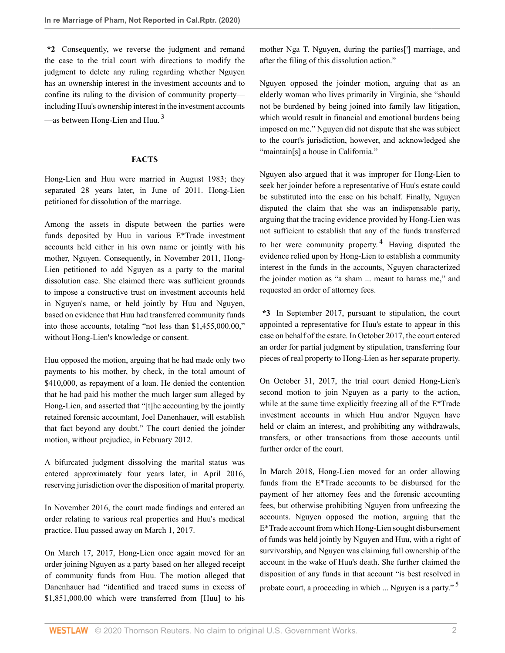**\*2** Consequently, we reverse the judgment and remand the case to the trial court with directions to modify the judgment to delete any ruling regarding whether Nguyen has an ownership interest in the investment accounts and to confine its ruling to the division of community property including Huu's ownership interest in the investment accounts —as between Hong-Lien and Huu.  $3$ 

### <span id="page-1-0"></span>**FACTS**

Hong-Lien and Huu were married in August 1983; they separated 28 years later, in June of 2011. Hong-Lien petitioned for dissolution of the marriage.

Among the assets in dispute between the parties were funds deposited by Huu in various E\*Trade investment accounts held either in his own name or jointly with his mother, Nguyen. Consequently, in November 2011, Hong-Lien petitioned to add Nguyen as a party to the marital dissolution case. She claimed there was sufficient grounds to impose a constructive trust on investment accounts held in Nguyen's name, or held jointly by Huu and Nguyen, based on evidence that Huu had transferred community funds into those accounts, totaling "not less than \$1,455,000.00," without Hong-Lien's knowledge or consent.

Huu opposed the motion, arguing that he had made only two payments to his mother, by check, in the total amount of \$410,000, as repayment of a loan. He denied the contention that he had paid his mother the much larger sum alleged by Hong-Lien, and asserted that "[t]he accounting by the jointly retained forensic accountant, Joel Danenhauer, will establish that fact beyond any doubt." The court denied the joinder motion, without prejudice, in February 2012.

A bifurcated judgment dissolving the marital status was entered approximately four years later, in April 2016, reserving jurisdiction over the disposition of marital property.

In November 2016, the court made findings and entered an order relating to various real properties and Huu's medical practice. Huu passed away on March 1, 2017.

On March 17, 2017, Hong-Lien once again moved for an order joining Nguyen as a party based on her alleged receipt of community funds from Huu. The motion alleged that Danenhauer had "identified and traced sums in excess of \$1,851,000.00 which were transferred from [Huu] to his

mother Nga T. Nguyen, during the parties['] marriage, and after the filing of this dissolution action."

Nguyen opposed the joinder motion, arguing that as an elderly woman who lives primarily in Virginia, she "should not be burdened by being joined into family law litigation, which would result in financial and emotional burdens being imposed on me." Nguyen did not dispute that she was subject to the court's jurisdiction, however, and acknowledged she "maintain[s] a house in California."

<span id="page-1-1"></span>Nguyen also argued that it was improper for Hong-Lien to seek her joinder before a representative of Huu's estate could be substituted into the case on his behalf. Finally, Nguyen disputed the claim that she was an indispensable party, arguing that the tracing evidence provided by Hong-Lien was not sufficient to establish that any of the funds transferred to her were community property.<sup>[4](#page-7-3)</sup> Having disputed the evidence relied upon by Hong-Lien to establish a community interest in the funds in the accounts, Nguyen characterized the joinder motion as "a sham ... meant to harass me," and requested an order of attorney fees.

**\*3** In September 2017, pursuant to stipulation, the court appointed a representative for Huu's estate to appear in this case on behalf of the estate. In October 2017, the court entered an order for partial judgment by stipulation, transferring four pieces of real property to Hong-Lien as her separate property.

On October 31, 2017, the trial court denied Hong-Lien's second motion to join Nguyen as a party to the action, while at the same time explicitly freezing all of the E\*Trade investment accounts in which Huu and/or Nguyen have held or claim an interest, and prohibiting any withdrawals, transfers, or other transactions from those accounts until further order of the court.

<span id="page-1-2"></span>In March 2018, Hong-Lien moved for an order allowing funds from the E\*Trade accounts to be disbursed for the payment of her attorney fees and the forensic accounting fees, but otherwise prohibiting Nguyen from unfreezing the accounts. Nguyen opposed the motion, arguing that the E\*Trade account from which Hong-Lien sought disbursement of funds was held jointly by Nguyen and Huu, with a right of survivorship, and Nguyen was claiming full ownership of the account in the wake of Huu's death. She further claimed the disposition of any funds in that account "is best resolved in probate court, a proceeding in which ... Nguyen is a party." [5](#page-7-4)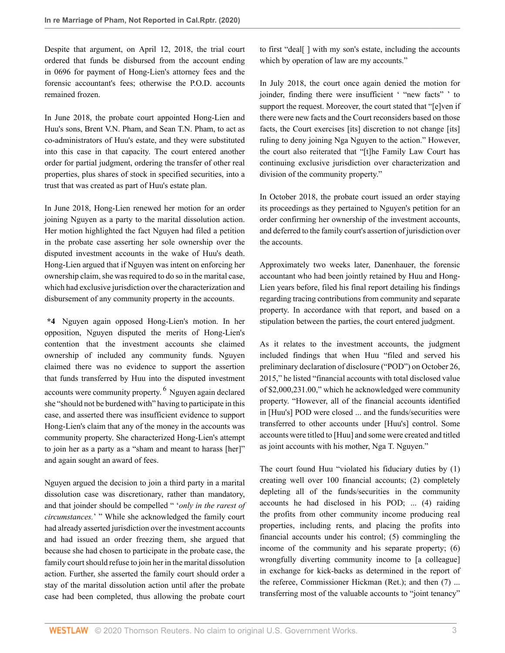Despite that argument, on April 12, 2018, the trial court ordered that funds be disbursed from the account ending in 0696 for payment of Hong-Lien's attorney fees and the forensic accountant's fees; otherwise the P.O.D. accounts remained frozen.

In June 2018, the probate court appointed Hong-Lien and Huu's sons, Brent V.N. Pham, and Sean T.N. Pham, to act as co-administrators of Huu's estate, and they were substituted into this case in that capacity. The court entered another order for partial judgment, ordering the transfer of other real properties, plus shares of stock in specified securities, into a trust that was created as part of Huu's estate plan.

In June 2018, Hong-Lien renewed her motion for an order joining Nguyen as a party to the marital dissolution action. Her motion highlighted the fact Nguyen had filed a petition in the probate case asserting her sole ownership over the disputed investment accounts in the wake of Huu's death. Hong-Lien argued that if Nguyen was intent on enforcing her ownership claim, she was required to do so in the marital case, which had exclusive jurisdiction over the characterization and disbursement of any community property in the accounts.

**\*4** Nguyen again opposed Hong-Lien's motion. In her opposition, Nguyen disputed the merits of Hong-Lien's contention that the investment accounts she claimed ownership of included any community funds. Nguyen claimed there was no evidence to support the assertion that funds transferred by Huu into the disputed investment accounts were community property. <sup>[6](#page-8-0)</sup> Nguyen again declared she "should not be burdened with" having to participate in this case, and asserted there was insufficient evidence to support Hong-Lien's claim that any of the money in the accounts was community property. She characterized Hong-Lien's attempt to join her as a party as a "sham and meant to harass [her]" and again sought an award of fees.

Nguyen argued the decision to join a third party in a marital dissolution case was discretionary, rather than mandatory, and that joinder should be compelled " '*only in the rarest of circumstances.*' " While she acknowledged the family court had already asserted jurisdiction over the investment accounts and had issued an order freezing them, she argued that because she had chosen to participate in the probate case, the family court should refuse to join her in the marital dissolution action. Further, she asserted the family court should order a stay of the marital dissolution action until after the probate case had been completed, thus allowing the probate court

to first "deal[ ] with my son's estate, including the accounts which by operation of law are my accounts."

In July 2018, the court once again denied the motion for joinder, finding there were insufficient ' "new facts" ' to support the request. Moreover, the court stated that "[e]ven if there were new facts and the Court reconsiders based on those facts, the Court exercises [its] discretion to not change [its] ruling to deny joining Nga Nguyen to the action." However, the court also reiterated that "[t]he Family Law Court has continuing exclusive jurisdiction over characterization and division of the community property."

In October 2018, the probate court issued an order staying its proceedings as they pertained to Nguyen's petition for an order confirming her ownership of the investment accounts, and deferred to the family court's assertion of jurisdiction over the accounts.

Approximately two weeks later, Danenhauer, the forensic accountant who had been jointly retained by Huu and Hong-Lien years before, filed his final report detailing his findings regarding tracing contributions from community and separate property. In accordance with that report, and based on a stipulation between the parties, the court entered judgment.

<span id="page-2-0"></span>As it relates to the investment accounts, the judgment included findings that when Huu "filed and served his preliminary declaration of disclosure ("POD") on October 26, 2015," he listed "financial accounts with total disclosed value of \$2,000,231.00," which he acknowledged were community property. "However, all of the financial accounts identified in [Huu's] POD were closed ... and the funds/securities were transferred to other accounts under [Huu's] control. Some accounts were titled to [Huu] and some were created and titled as joint accounts with his mother, Nga T. Nguyen."

The court found Huu "violated his fiduciary duties by (1) creating well over 100 financial accounts; (2) completely depleting all of the funds/securities in the community accounts he had disclosed in his POD; ... (4) raiding the profits from other community income producing real properties, including rents, and placing the profits into financial accounts under his control; (5) commingling the income of the community and his separate property; (6) wrongfully diverting community income to [a colleague] in exchange for kick-backs as determined in the report of the referee, Commissioner Hickman (Ret.); and then (7) ... transferring most of the valuable accounts to "joint tenancy"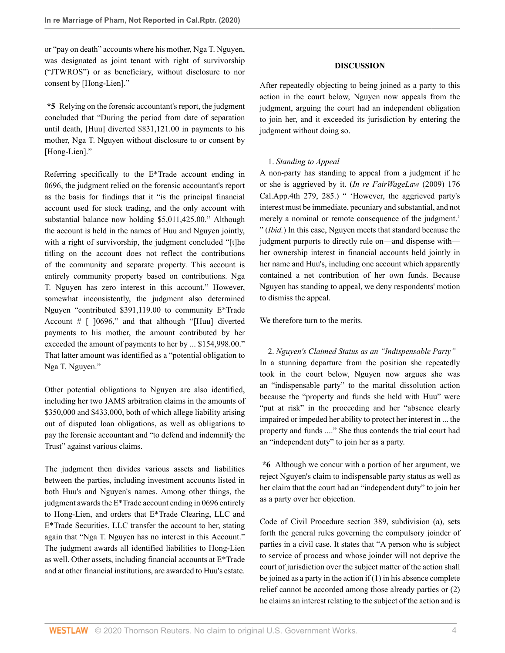or "pay on death" accounts where his mother, Nga T. Nguyen, was designated as joint tenant with right of survivorship ("JTWROS") or as beneficiary, without disclosure to nor consent by [Hong-Lien]."

**\*5** Relying on the forensic accountant's report, the judgment concluded that "During the period from date of separation until death, [Huu] diverted \$831,121.00 in payments to his mother, Nga T. Nguyen without disclosure to or consent by [Hong-Lien]."

Referring specifically to the E\*Trade account ending in 0696, the judgment relied on the forensic accountant's report as the basis for findings that it "is the principal financial account used for stock trading, and the only account with substantial balance now holding \$5,011,425.00." Although the account is held in the names of Huu and Nguyen jointly, with a right of survivorship, the judgment concluded "[t]he titling on the account does not reflect the contributions of the community and separate property. This account is entirely community property based on contributions. Nga T. Nguyen has zero interest in this account." However, somewhat inconsistently, the judgment also determined Nguyen "contributed \$391,119.00 to community E\*Trade Account # [ ]0696," and that although "[Huu] diverted payments to his mother, the amount contributed by her exceeded the amount of payments to her by ... \$154,998.00." That latter amount was identified as a "potential obligation to Nga T. Nguyen."

Other potential obligations to Nguyen are also identified, including her two JAMS arbitration claims in the amounts of \$350,000 and \$433,000, both of which allege liability arising out of disputed loan obligations, as well as obligations to pay the forensic accountant and "to defend and indemnify the Trust" against various claims.

The judgment then divides various assets and liabilities between the parties, including investment accounts listed in both Huu's and Nguyen's names. Among other things, the judgment awards the E\*Trade account ending in 0696 entirely to Hong-Lien, and orders that E\*Trade Clearing, LLC and E\*Trade Securities, LLC transfer the account to her, stating again that "Nga T. Nguyen has no interest in this Account." The judgment awards all identified liabilities to Hong-Lien as well. Other assets, including financial accounts at E\*Trade and at other financial institutions, are awarded to Huu's estate.

### **DISCUSSION**

After repeatedly objecting to being joined as a party to this action in the court below, Nguyen now appeals from the judgment, arguing the court had an independent obligation to join her, and it exceeded its jurisdiction by entering the judgment without doing so.

### 1. *Standing to Appeal*

A non-party has standing to appeal from a judgment if he or she is aggrieved by it. (*[In re FairWageLaw](http://www.westlaw.com/Link/Document/FullText?findType=Y&serNum=2019530082&pubNum=0004041&originatingDoc=I3b5732e0a5dc11ea93a0cf5da1431849&refType=RP&fi=co_pp_sp_4041_285&originationContext=document&vr=3.0&rs=cblt1.0&transitionType=DocumentItem&contextData=(sc.Default)#co_pp_sp_4041_285)* (2009) 176 [Cal.App.4th 279, 285](http://www.westlaw.com/Link/Document/FullText?findType=Y&serNum=2019530082&pubNum=0004041&originatingDoc=I3b5732e0a5dc11ea93a0cf5da1431849&refType=RP&fi=co_pp_sp_4041_285&originationContext=document&vr=3.0&rs=cblt1.0&transitionType=DocumentItem&contextData=(sc.Default)#co_pp_sp_4041_285).) " 'However, the aggrieved party's interest must be immediate, pecuniary and substantial, and not merely a nominal or remote consequence of the judgment.' " (*Ibid.*) In this case, Nguyen meets that standard because the judgment purports to directly rule on—and dispense with her ownership interest in financial accounts held jointly in her name and Huu's, including one account which apparently contained a net contribution of her own funds. Because Nguyen has standing to appeal, we deny respondents' motion to dismiss the appeal.

We therefore turn to the merits.

2. *Nguyen's Claimed Status as an "Indispensable Party"* In a stunning departure from the position she repeatedly took in the court below, Nguyen now argues she was an "indispensable party" to the marital dissolution action because the "property and funds she held with Huu" were "put at risk" in the proceeding and her "absence clearly impaired or impeded her ability to protect her interest in ... the property and funds ...." She thus contends the trial court had an "independent duty" to join her as a party.

**\*6** Although we concur with a portion of her argument, we reject Nguyen's claim to indispensable party status as well as her claim that the court had an "independent duty" to join her as a party over her objection.

[Code of Civil Procedure section 389, subdivision \(a\)](http://www.westlaw.com/Link/Document/FullText?findType=L&pubNum=1000201&cite=CACPS389&originatingDoc=I3b5732e0a5dc11ea93a0cf5da1431849&refType=SP&originationContext=document&vr=3.0&rs=cblt1.0&transitionType=DocumentItem&contextData=(sc.Default)#co_pp_8b3b0000958a4), sets forth the general rules governing the compulsory joinder of parties in a civil case. It states that "A person who is subject to service of process and whose joinder will not deprive the court of jurisdiction over the subject matter of the action shall be joined as a party in the action if  $(1)$  in his absence complete relief cannot be accorded among those already parties or (2) he claims an interest relating to the subject of the action and is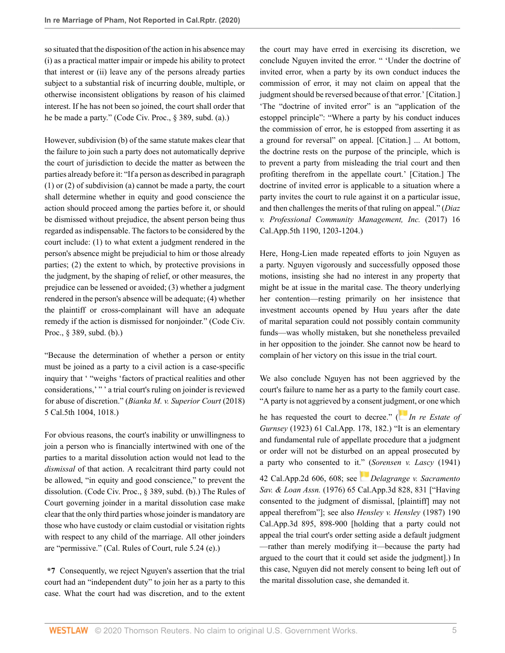so situated that the disposition of the action in his absence may (i) as a practical matter impair or impede his ability to protect that interest or (ii) leave any of the persons already parties subject to a substantial risk of incurring double, multiple, or otherwise inconsistent obligations by reason of his claimed interest. If he has not been so joined, the court shall order that he be made a party." ([Code Civ. Proc., § 389, subd. \(a\)](http://www.westlaw.com/Link/Document/FullText?findType=L&pubNum=1000201&cite=CACPS389&originatingDoc=I3b5732e0a5dc11ea93a0cf5da1431849&refType=SP&originationContext=document&vr=3.0&rs=cblt1.0&transitionType=DocumentItem&contextData=(sc.Default)#co_pp_8b3b0000958a4).)

However, subdivision (b) of the same statute makes clear that the failure to join such a party does not automatically deprive the court of jurisdiction to decide the matter as between the parties already before it: "If a person as described in paragraph (1) or (2) of subdivision (a) cannot be made a party, the court shall determine whether in equity and good conscience the action should proceed among the parties before it, or should be dismissed without prejudice, the absent person being thus regarded as indispensable. The factors to be considered by the court include: (1) to what extent a judgment rendered in the person's absence might be prejudicial to him or those already parties; (2) the extent to which, by protective provisions in the judgment, by the shaping of relief, or other measures, the prejudice can be lessened or avoided; (3) whether a judgment rendered in the person's absence will be adequate; (4) whether the plaintiff or cross-complainant will have an adequate remedy if the action is dismissed for nonjoinder." [\(Code Civ.](http://www.westlaw.com/Link/Document/FullText?findType=L&pubNum=1000201&cite=CACPS389&originatingDoc=I3b5732e0a5dc11ea93a0cf5da1431849&refType=SP&originationContext=document&vr=3.0&rs=cblt1.0&transitionType=DocumentItem&contextData=(sc.Default)#co_pp_a83b000018c76) [Proc., § 389, subd. \(b\).](http://www.westlaw.com/Link/Document/FullText?findType=L&pubNum=1000201&cite=CACPS389&originatingDoc=I3b5732e0a5dc11ea93a0cf5da1431849&refType=SP&originationContext=document&vr=3.0&rs=cblt1.0&transitionType=DocumentItem&contextData=(sc.Default)#co_pp_a83b000018c76))

"Because the determination of whether a person or entity must be joined as a party to a civil action is a case-specific inquiry that ' "weighs 'factors of practical realities and other considerations,' " ' a trial court's ruling on joinder is reviewed for abuse of discretion." (*[Bianka M. v. Superior Court](http://www.westlaw.com/Link/Document/FullText?findType=Y&serNum=2045294003&pubNum=0007052&originatingDoc=I3b5732e0a5dc11ea93a0cf5da1431849&refType=RP&fi=co_pp_sp_7052_1018&originationContext=document&vr=3.0&rs=cblt1.0&transitionType=DocumentItem&contextData=(sc.Default)#co_pp_sp_7052_1018)* (2018) [5 Cal.5th 1004, 1018](http://www.westlaw.com/Link/Document/FullText?findType=Y&serNum=2045294003&pubNum=0007052&originatingDoc=I3b5732e0a5dc11ea93a0cf5da1431849&refType=RP&fi=co_pp_sp_7052_1018&originationContext=document&vr=3.0&rs=cblt1.0&transitionType=DocumentItem&contextData=(sc.Default)#co_pp_sp_7052_1018).)

For obvious reasons, the court's inability or unwillingness to join a person who is financially intertwined with one of the parties to a marital dissolution action would not lead to the *dismissal* of that action. A recalcitrant third party could not be allowed, "in equity and good conscience," to prevent the dissolution. [\(Code Civ. Proc., § 389, subd. \(b\)](http://www.westlaw.com/Link/Document/FullText?findType=L&pubNum=1000201&cite=CACPS389&originatingDoc=I3b5732e0a5dc11ea93a0cf5da1431849&refType=SP&originationContext=document&vr=3.0&rs=cblt1.0&transitionType=DocumentItem&contextData=(sc.Default)#co_pp_a83b000018c76).) The Rules of Court governing joinder in a marital dissolution case make clear that the only third parties whose joinder is mandatory are those who have custody or claim custodial or visitation rights with respect to any child of the marriage. All other joinders are "permissive." [\(Cal. Rules of Court, rule 5.24 \(e\).](http://www.westlaw.com/Link/Document/FullText?findType=L&pubNum=1085231&cite=CASTFAMJVR5.24&originatingDoc=I3b5732e0a5dc11ea93a0cf5da1431849&refType=SP&originationContext=document&vr=3.0&rs=cblt1.0&transitionType=DocumentItem&contextData=(sc.Default)#co_pp_7fdd00001ca15))

**\*7** Consequently, we reject Nguyen's assertion that the trial court had an "independent duty" to join her as a party to this case. What the court had was discretion, and to the extent the court may have erred in exercising its discretion, we conclude Nguyen invited the error. " 'Under the doctrine of invited error, when a party by its own conduct induces the commission of error, it may not claim on appeal that the judgment should be reversed because of that error.' [Citation.] 'The "doctrine of invited error" is an "application of the estoppel principle": "Where a party by his conduct induces the commission of error, he is estopped from asserting it as a ground for reversal" on appeal. [Citation.] ... At bottom, the doctrine rests on the purpose of the principle, which is to prevent a party from misleading the trial court and then profiting therefrom in the appellate court.' [Citation.] The doctrine of invited error is applicable to a situation where a party invites the court to rule against it on a particular issue, and then challenges the merits of that ruling on appeal." (*[Diaz](http://www.westlaw.com/Link/Document/FullText?findType=Y&serNum=2043133914&pubNum=0007053&originatingDoc=I3b5732e0a5dc11ea93a0cf5da1431849&refType=RP&fi=co_pp_sp_7053_1203&originationContext=document&vr=3.0&rs=cblt1.0&transitionType=DocumentItem&contextData=(sc.Default)#co_pp_sp_7053_1203) [v. Professional Community Management, Inc.](http://www.westlaw.com/Link/Document/FullText?findType=Y&serNum=2043133914&pubNum=0007053&originatingDoc=I3b5732e0a5dc11ea93a0cf5da1431849&refType=RP&fi=co_pp_sp_7053_1203&originationContext=document&vr=3.0&rs=cblt1.0&transitionType=DocumentItem&contextData=(sc.Default)#co_pp_sp_7053_1203)* (2017) 16 [Cal.App.5th 1190, 1203-1204](http://www.westlaw.com/Link/Document/FullText?findType=Y&serNum=2043133914&pubNum=0007053&originatingDoc=I3b5732e0a5dc11ea93a0cf5da1431849&refType=RP&fi=co_pp_sp_7053_1203&originationContext=document&vr=3.0&rs=cblt1.0&transitionType=DocumentItem&contextData=(sc.Default)#co_pp_sp_7053_1203).)

Here, Hong-Lien made repeated efforts to join Nguyen as a party. Nguyen vigorously and successfully opposed those motions, insisting she had no interest in any property that might be at issue in the marital case. The theory underlying her contention—resting primarily on her insistence that investment accounts opened by Huu years after the date of marital separation could not possibly contain community funds—was wholly mistaken, but she nonetheless prevailed in her opposition to the joinder. She cannot now be heard to complain of her victory on this issue in the trial court.

We also conclude Nguyen has not been aggrieved by the court's failure to name her as a party to the family court case. "A party is not aggrieved by a consent judg[men](https://1.next.westlaw.com/Link/RelatedInformation/Flag?documentGuid=I96b07f11faee11d98ac8f235252e36df&transitionType=InlineKeyCiteFlags&originationContext=docHeaderFlag&Rank=0&contextData=(sc.Default) )t, or one which

he has requested the court to decree." ( *[In re Estate of](http://www.westlaw.com/Link/Document/FullText?findType=Y&serNum=1923118364&pubNum=0000221&originatingDoc=I3b5732e0a5dc11ea93a0cf5da1431849&refType=RP&fi=co_pp_sp_221_182&originationContext=document&vr=3.0&rs=cblt1.0&transitionType=DocumentItem&contextData=(sc.Default)#co_pp_sp_221_182) Gurnsey* [\(1923\) 61 Cal.App. 178, 182](http://www.westlaw.com/Link/Document/FullText?findType=Y&serNum=1923118364&pubNum=0000221&originatingDoc=I3b5732e0a5dc11ea93a0cf5da1431849&refType=RP&fi=co_pp_sp_221_182&originationContext=document&vr=3.0&rs=cblt1.0&transitionType=DocumentItem&contextData=(sc.Default)#co_pp_sp_221_182).) "It is an elementary and fundamental rule of appellate procedure that a judgment or order will not be disturbed on an appeal prosecuted by a party who consented to it[." \(](https://1.next.westlaw.com/Link/RelatedInformation/Flag?documentGuid=Ib380f406face11d98ac8f235252e36df&transitionType=InlineKeyCiteFlags&originationContext=docHeaderFlag&Rank=0&contextData=(sc.Default) )*[Sorensen v. Lascy](http://www.westlaw.com/Link/Document/FullText?findType=Y&serNum=1941117518&pubNum=0000225&originatingDoc=I3b5732e0a5dc11ea93a0cf5da1431849&refType=RP&fi=co_pp_sp_225_608&originationContext=document&vr=3.0&rs=cblt1.0&transitionType=DocumentItem&contextData=(sc.Default)#co_pp_sp_225_608)* (1941) [42 Cal.App.2d 606, 608](http://www.westlaw.com/Link/Document/FullText?findType=Y&serNum=1941117518&pubNum=0000225&originatingDoc=I3b5732e0a5dc11ea93a0cf5da1431849&refType=RP&fi=co_pp_sp_225_608&originationContext=document&vr=3.0&rs=cblt1.0&transitionType=DocumentItem&contextData=(sc.Default)#co_pp_sp_225_608); see *[Delagrange v. Sacramento](http://www.westlaw.com/Link/Document/FullText?findType=Y&serNum=1977100269&pubNum=0000226&originatingDoc=I3b5732e0a5dc11ea93a0cf5da1431849&refType=RP&fi=co_pp_sp_226_831&originationContext=document&vr=3.0&rs=cblt1.0&transitionType=DocumentItem&contextData=(sc.Default)#co_pp_sp_226_831) Sav. & Loan Assn.* [\(1976\) 65 Cal.App.3d 828, 831](http://www.westlaw.com/Link/Document/FullText?findType=Y&serNum=1977100269&pubNum=0000226&originatingDoc=I3b5732e0a5dc11ea93a0cf5da1431849&refType=RP&fi=co_pp_sp_226_831&originationContext=document&vr=3.0&rs=cblt1.0&transitionType=DocumentItem&contextData=(sc.Default)#co_pp_sp_226_831) ["Having consented to the judgment of dismissal, [plaintiff] may not appeal therefrom"]; see also *[Hensley v. Hensley](http://www.westlaw.com/Link/Document/FullText?findType=Y&serNum=1987039347&pubNum=0000226&originatingDoc=I3b5732e0a5dc11ea93a0cf5da1431849&refType=RP&fi=co_pp_sp_226_898&originationContext=document&vr=3.0&rs=cblt1.0&transitionType=DocumentItem&contextData=(sc.Default)#co_pp_sp_226_898)* (1987) 190 [Cal.App.3d 895, 898-900](http://www.westlaw.com/Link/Document/FullText?findType=Y&serNum=1987039347&pubNum=0000226&originatingDoc=I3b5732e0a5dc11ea93a0cf5da1431849&refType=RP&fi=co_pp_sp_226_898&originationContext=document&vr=3.0&rs=cblt1.0&transitionType=DocumentItem&contextData=(sc.Default)#co_pp_sp_226_898) [holding that a party could not appeal the trial court's order setting aside a default judgment —rather than merely modifying it—because the party had argued to the court that it could set aside the judgment].) In this case, Nguyen did not merely consent to being left out of the marital dissolution case, she demanded it.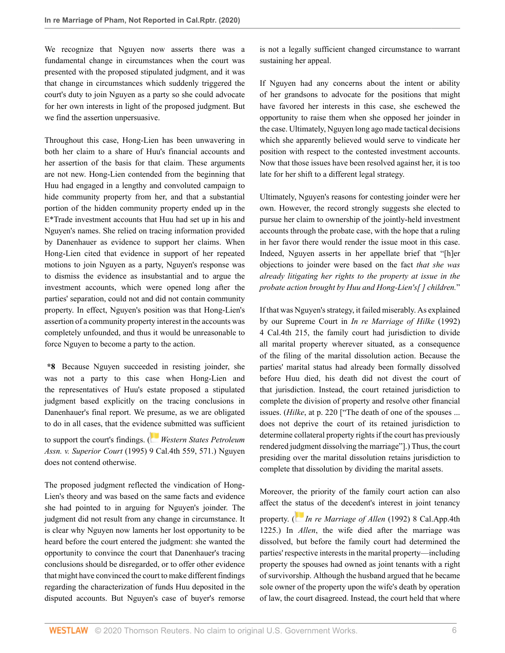We recognize that Nguyen now asserts there was a fundamental change in circumstances when the court was presented with the proposed stipulated judgment, and it was that change in circumstances which suddenly triggered the court's duty to join Nguyen as a party so she could advocate for her own interests in light of the proposed judgment. But we find the assertion unpersuasive.

Throughout this case, Hong-Lien has been unwavering in both her claim to a share of Huu's financial accounts and her assertion of the basis for that claim. These arguments are not new. Hong-Lien contended from the beginning that Huu had engaged in a lengthy and convoluted campaign to hide community property from her, and that a substantial portion of the hidden community property ended up in the E\*Trade investment accounts that Huu had set up in his and Nguyen's names. She relied on tracing information provided by Danenhauer as evidence to support her claims. When Hong-Lien cited that evidence in support of her repeated motions to join Nguyen as a party, Nguyen's response was to dismiss the evidence as insubstantial and to argue the investment accounts, which were opened long after the parties' separation, could not and did not contain community property. In effect, Nguyen's position was that Hong-Lien's assertion of a community property interest in the accounts was completely unfounded, and thus it would be unreasonable to force Nguyen to become a party to the action.

**\*8** Because Nguyen succeeded in resisting joinder, she was not a party to this case when Hong-Lien and the representatives of Huu's estate proposed a stipulated judgment based explicitly on the tracing conclusions in Danenhauer's final report. We presume, as we are obligated to do in all cases, that the evid[ence](https://1.next.westlaw.com/Link/RelatedInformation/Flag?documentGuid=I1ef2ccf2faba11d9bf60c1d57ebc853e&transitionType=InlineKeyCiteFlags&originationContext=docHeaderFlag&Rank=0&contextData=(sc.Default) ) submitted was sufficient

to support the court's findings. ( *[Western States Petroleum](http://www.westlaw.com/Link/Document/FullText?findType=Y&serNum=1995049982&pubNum=0004040&originatingDoc=I3b5732e0a5dc11ea93a0cf5da1431849&refType=RP&fi=co_pp_sp_4040_571&originationContext=document&vr=3.0&rs=cblt1.0&transitionType=DocumentItem&contextData=(sc.Default)#co_pp_sp_4040_571) Assn. v. Superior Court* [\(1995\) 9 Cal.4th 559, 571.](http://www.westlaw.com/Link/Document/FullText?findType=Y&serNum=1995049982&pubNum=0004040&originatingDoc=I3b5732e0a5dc11ea93a0cf5da1431849&refType=RP&fi=co_pp_sp_4040_571&originationContext=document&vr=3.0&rs=cblt1.0&transitionType=DocumentItem&contextData=(sc.Default)#co_pp_sp_4040_571)) Nguyen does not contend otherwise.

The proposed judgment reflected the vindication of Hong-Lien's theory and was based on the same facts and evidence she had pointed to in arguing for Nguyen's joinder. The judgment did not result from any change in circumstance. It is clear why Nguyen now laments her lost opportunity to be heard before the court entered the judgment: she wanted the opportunity to convince the court that Danenhauer's tracing conclusions should be disregarded, or to offer other evidence that might have convinced the court to make different findings regarding the characterization of funds Huu deposited in the disputed accounts. But Nguyen's case of buyer's remorse

is not a legally sufficient changed circumstance to warrant sustaining her appeal.

If Nguyen had any concerns about the intent or ability of her grandsons to advocate for the positions that might have favored her interests in this case, she eschewed the opportunity to raise them when she opposed her joinder in the case. Ultimately, Nguyen long ago made tactical decisions which she apparently believed would serve to vindicate her position with respect to the contested investment accounts. Now that those issues have been resolved against her, it is too late for her shift to a different legal strategy.

Ultimately, Nguyen's reasons for contesting joinder were her own. However, the record strongly suggests she elected to pursue her claim to ownership of the jointly-held investment accounts through the probate case, with the hope that a ruling in her favor there would render the issue moot in this case. Indeed, Nguyen asserts in her appellate brief that "[h]er objections to joinder were based on the fact *that she was already litigating her rights to the property at issue in the probate action brought by Huu and Hong-Lien's[ ] children.*"

If that was Nguyen's strategy, it failed miserably. As explained by our Supreme Court in *[In re Marriage of Hilke](http://www.westlaw.com/Link/Document/FullText?findType=Y&serNum=1992217485&pubNum=0004040&originatingDoc=I3b5732e0a5dc11ea93a0cf5da1431849&refType=RP&originationContext=document&vr=3.0&rs=cblt1.0&transitionType=DocumentItem&contextData=(sc.Default))* (1992) [4 Cal.4th 215,](http://www.westlaw.com/Link/Document/FullText?findType=Y&serNum=1992217485&pubNum=0004040&originatingDoc=I3b5732e0a5dc11ea93a0cf5da1431849&refType=RP&originationContext=document&vr=3.0&rs=cblt1.0&transitionType=DocumentItem&contextData=(sc.Default)) the family court had jurisdiction to divide all marital property wherever situated, as a consequence of the filing of the marital dissolution action. Because the parties' marital status had already been formally dissolved before Huu died, his death did not divest the court of that jurisdiction. Instead, the court retained jurisdiction to complete the division of property and resolve other financial issues. (*Hilke*, at p. 220 ["The death of one of the spouses ... does not deprive the court of its retained jurisdiction to determine collateral property rights if the court has previously rendered judgment dissolving the marriage"].) Thus, the court presiding over the marital dissolution retains jurisdiction to complete that dissolution by dividing the marital assets.

Moreover, the priority of the family court action can also affect the [stat](https://1.next.westlaw.com/Link/RelatedInformation/Flag?documentGuid=I96e53665fabc11d983e7e9deff98dc6f&transitionType=InlineKeyCiteFlags&originationContext=docHeaderFlag&Rank=0&contextData=(sc.Default) )us of the decedent's interest in joint tenancy

property. ( *[In re Marriage of Allen](http://www.westlaw.com/Link/Document/FullText?findType=Y&serNum=1992148487&pubNum=0004041&originatingDoc=I3b5732e0a5dc11ea93a0cf5da1431849&refType=RP&originationContext=document&vr=3.0&rs=cblt1.0&transitionType=DocumentItem&contextData=(sc.Default))* (1992) 8 Cal.App.4th [1225](http://www.westlaw.com/Link/Document/FullText?findType=Y&serNum=1992148487&pubNum=0004041&originatingDoc=I3b5732e0a5dc11ea93a0cf5da1431849&refType=RP&originationContext=document&vr=3.0&rs=cblt1.0&transitionType=DocumentItem&contextData=(sc.Default)).) In *Allen*, the wife died after the marriage was dissolved, but before the family court had determined the parties' respective interests in the marital property—including property the spouses had owned as joint tenants with a right of survivorship. Although the husband argued that he became sole owner of the property upon the wife's death by operation of law, the court disagreed. Instead, the court held that where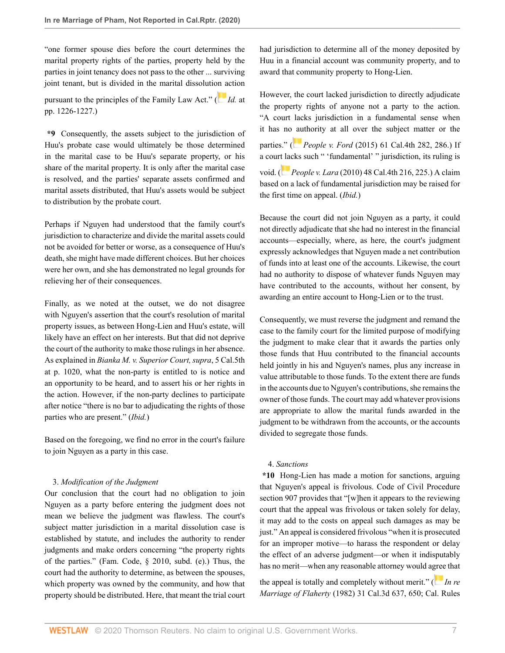"one former spouse dies before the court determines the marital property rights of the parties, property held by the parties in joint tenancy does not pass to the other ... surviving joint tenant, but is divided in the marital dissoluti[on a](https://1.next.westlaw.com/Link/RelatedInformation/Flag?documentGuid=I96e53665fabc11d983e7e9deff98dc6f&transitionType=InlineKeyCiteFlags&originationContext=docHeaderFlag&Rank=0&contextData=(sc.Default) )ction

pursuant to the principles of the Family Law Act." ( *[Id.](http://www.westlaw.com/Link/Document/FullText?findType=Y&serNum=1992148487&pubNum=0004041&originatingDoc=I3b5732e0a5dc11ea93a0cf5da1431849&refType=RP&fi=co_pp_sp_4041_1226&originationContext=document&vr=3.0&rs=cblt1.0&transitionType=DocumentItem&contextData=(sc.Default)#co_pp_sp_4041_1226)* at [pp. 1226-1227](http://www.westlaw.com/Link/Document/FullText?findType=Y&serNum=1992148487&pubNum=0004041&originatingDoc=I3b5732e0a5dc11ea93a0cf5da1431849&refType=RP&fi=co_pp_sp_4041_1226&originationContext=document&vr=3.0&rs=cblt1.0&transitionType=DocumentItem&contextData=(sc.Default)#co_pp_sp_4041_1226).)

**\*9** Consequently, the assets subject to the jurisdiction of Huu's probate case would ultimately be those determined in the marital case to be Huu's separate property, or his share of the marital property. It is only after the marital case is resolved, and the parties' separate assets confirmed and marital assets distributed, that Huu's assets would be subject to distribution by the probate court.

Perhaps if Nguyen had understood that the family court's jurisdiction to characterize and divide the marital assets could not be avoided for better or worse, as a consequence of Huu's death, she might have made different choices. But her choices were her own, and she has demonstrated no legal grounds for relieving her of their consequences.

Finally, as we noted at the outset, we do not disagree with Nguyen's assertion that the court's resolution of marital property issues, as between Hong-Lien and Huu's estate, will likely have an effect on her interests. But that did not deprive the court of the authority to make those rulings in her absence. As explained in *[Bianka M. v. Superior Court, supra](http://www.westlaw.com/Link/Document/FullText?findType=Y&serNum=2045294003&pubNum=0007052&originatingDoc=I3b5732e0a5dc11ea93a0cf5da1431849&refType=RP&fi=co_pp_sp_7052_1020&originationContext=document&vr=3.0&rs=cblt1.0&transitionType=DocumentItem&contextData=(sc.Default)#co_pp_sp_7052_1020)*, 5 Cal.5th [at p. 1020,](http://www.westlaw.com/Link/Document/FullText?findType=Y&serNum=2045294003&pubNum=0007052&originatingDoc=I3b5732e0a5dc11ea93a0cf5da1431849&refType=RP&fi=co_pp_sp_7052_1020&originationContext=document&vr=3.0&rs=cblt1.0&transitionType=DocumentItem&contextData=(sc.Default)#co_pp_sp_7052_1020) what the non-party is entitled to is notice and an opportunity to be heard, and to assert his or her rights in the action. However, if the non-party declines to participate after notice "there is no bar to adjudicating the rights of those parties who are present." (*Ibid.*)

Based on the foregoing, we find no error in the court's failure to join Nguyen as a party in this case.

#### 3. *Modification of the Judgment*

Our conclusion that the court had no obligation to join Nguyen as a party before entering the judgment does not mean we believe the judgment was flawless. The court's subject matter jurisdiction in a marital dissolution case is established by statute, and includes the authority to render judgments and make orders concerning "the property rights of the parties." ([Fam. Code, § 2010, subd. \(e\)](http://www.westlaw.com/Link/Document/FullText?findType=L&pubNum=1003409&cite=CAFAMS2010&originatingDoc=I3b5732e0a5dc11ea93a0cf5da1431849&refType=SP&originationContext=document&vr=3.0&rs=cblt1.0&transitionType=DocumentItem&contextData=(sc.Default)#co_pp_7fdd00001ca15).) Thus, the court had the authority to determine, as between the spouses, which property was owned by the community, and how that property should be distributed. Here, that meant the trial court had jurisdiction to determine all of the money deposited by Huu in a financial account was community property, and to award that community property to Hong-Lien.

However, the court lacked jurisdiction to directly adjudicate the property rights of anyone not a party to the action. "A court lacks jurisdiction in a fundamental sense when it has no [au](https://1.next.westlaw.com/Link/RelatedInformation/Flag?documentGuid=I68e99fdd052811e5b86bd602cb8781fa&transitionType=InlineKeyCiteFlags&originationContext=docHeaderFlag&Rank=0&contextData=(sc.Default) )thority at all over the subject matter or the parties." ( *People v. Ford* [\(2015\) 61 Cal.4th 282, 286](http://www.westlaw.com/Link/Document/FullText?findType=Y&serNum=2036354642&pubNum=0004040&originatingDoc=I3b5732e0a5dc11ea93a0cf5da1431849&refType=RP&fi=co_pp_sp_4040_286&originationContext=document&vr=3.0&rs=cblt1.0&transitionType=DocumentItem&contextData=(sc.Default)#co_pp_sp_4040_286).) If a cour[t lac](https://1.next.westlaw.com/Link/RelatedInformation/Flag?documentGuid=I834655d82a9611df8bf6cd8525c41437&transitionType=InlineKeyCiteFlags&originationContext=docHeaderFlag&Rank=0&contextData=(sc.Default) )ks such " 'fundamental' " jurisdiction, its ruling is void. ( *People v. Lara* [\(2010\) 48 Cal.4th 216, 225.](http://www.westlaw.com/Link/Document/FullText?findType=Y&serNum=2021490419&pubNum=0004040&originatingDoc=I3b5732e0a5dc11ea93a0cf5da1431849&refType=RP&fi=co_pp_sp_4040_225&originationContext=document&vr=3.0&rs=cblt1.0&transitionType=DocumentItem&contextData=(sc.Default)#co_pp_sp_4040_225)) A claim based on a lack of fundamental jurisdiction may be raised for the first time on appeal. (*Ibid.*)

Because the court did not join Nguyen as a party, it could not directly adjudicate that she had no interest in the financial accounts—especially, where, as here, the court's judgment expressly acknowledges that Nguyen made a net contribution of funds into at least one of the accounts. Likewise, the court had no authority to dispose of whatever funds Nguyen may have contributed to the accounts, without her consent, by awarding an entire account to Hong-Lien or to the trust.

Consequently, we must reverse the judgment and remand the case to the family court for the limited purpose of modifying the judgment to make clear that it awards the parties only those funds that Huu contributed to the financial accounts held jointly in his and Nguyen's names, plus any increase in value attributable to those funds. To the extent there are funds in the accounts due to Nguyen's contributions, she remains the owner of those funds. The court may add whatever provisions are appropriate to allow the marital funds awarded in the judgment to be withdrawn from the accounts, or the accounts divided to segregate those funds.

#### 4. *Sanctions*

**\*10** Hong-Lien has made a motion for sanctions, arguing that Nguyen's appeal is frivolous. [Code of Civil Procedure](http://www.westlaw.com/Link/Document/FullText?findType=L&pubNum=1000201&cite=CACPS907&originatingDoc=I3b5732e0a5dc11ea93a0cf5da1431849&refType=LQ&originationContext=document&vr=3.0&rs=cblt1.0&transitionType=DocumentItem&contextData=(sc.Default)) [section 907](http://www.westlaw.com/Link/Document/FullText?findType=L&pubNum=1000201&cite=CACPS907&originatingDoc=I3b5732e0a5dc11ea93a0cf5da1431849&refType=LQ&originationContext=document&vr=3.0&rs=cblt1.0&transitionType=DocumentItem&contextData=(sc.Default)) provides that "[w]hen it appears to the reviewing court that the appeal was frivolous or taken solely for delay, it may add to the costs on appeal such damages as may be just." An appeal is considered frivolous "when it is prosecuted for an improper motive—to harass the respondent or delay the effect of an adverse judgment—or when it indisputably has no merit—when any reasonable attorney would a[gree](https://1.next.westlaw.com/Link/RelatedInformation/Flag?documentGuid=I102f3e69fab011d98ac8f235252e36df&transitionType=InlineKeyCiteFlags&originationContext=docHeaderFlag&Rank=0&contextData=(sc.Default) ) that

the appeal is totally and completely without merit." ( *[In re](http://www.westlaw.com/Link/Document/FullText?findType=Y&serNum=1982127411&pubNum=0000233&originatingDoc=I3b5732e0a5dc11ea93a0cf5da1431849&refType=RP&fi=co_pp_sp_233_650&originationContext=document&vr=3.0&rs=cblt1.0&transitionType=DocumentItem&contextData=(sc.Default)#co_pp_sp_233_650) Marriage of Flaherty* [\(1982\) 31 Cal.3d 637, 650;](http://www.westlaw.com/Link/Document/FullText?findType=Y&serNum=1982127411&pubNum=0000233&originatingDoc=I3b5732e0a5dc11ea93a0cf5da1431849&refType=RP&fi=co_pp_sp_233_650&originationContext=document&vr=3.0&rs=cblt1.0&transitionType=DocumentItem&contextData=(sc.Default)#co_pp_sp_233_650) [Cal. Rules](http://www.westlaw.com/Link/Document/FullText?findType=L&pubNum=1085232&cite=CASTAPPLLR8.276&originatingDoc=I3b5732e0a5dc11ea93a0cf5da1431849&refType=LQ&originationContext=document&vr=3.0&rs=cblt1.0&transitionType=DocumentItem&contextData=(sc.Default))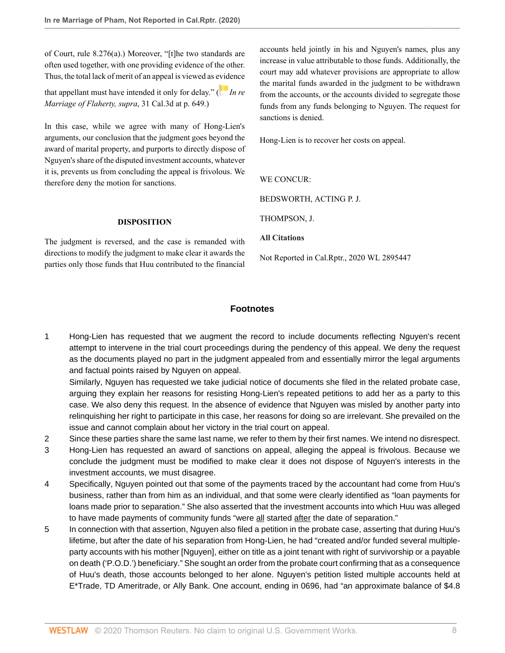[of Court, rule 8.276\(a\).](http://www.westlaw.com/Link/Document/FullText?findType=L&pubNum=1085232&cite=CASTAPPLLR8.276&originatingDoc=I3b5732e0a5dc11ea93a0cf5da1431849&refType=LQ&originationContext=document&vr=3.0&rs=cblt1.0&transitionType=DocumentItem&contextData=(sc.Default))) Moreover, "[t]he two standards are often used together, with one providing evidence of the other. Thus, the total lack of merit of an appeal is viewed as e[vid](https://1.next.westlaw.com/Link/RelatedInformation/Flag?documentGuid=I102f3e69fab011d98ac8f235252e36df&transitionType=InlineKeyCiteFlags&originationContext=docHeaderFlag&Rank=0&contextData=(sc.Default) )ence that appellant must have intended it only for delay." ( *[In re](http://www.westlaw.com/Link/Document/FullText?findType=Y&serNum=1982127411&pubNum=0000233&originatingDoc=I3b5732e0a5dc11ea93a0cf5da1431849&refType=RP&fi=co_pp_sp_233_649&originationContext=document&vr=3.0&rs=cblt1.0&transitionType=DocumentItem&contextData=(sc.Default)#co_pp_sp_233_649)*

*[Marriage of Flaherty, supra](http://www.westlaw.com/Link/Document/FullText?findType=Y&serNum=1982127411&pubNum=0000233&originatingDoc=I3b5732e0a5dc11ea93a0cf5da1431849&refType=RP&fi=co_pp_sp_233_649&originationContext=document&vr=3.0&rs=cblt1.0&transitionType=DocumentItem&contextData=(sc.Default)#co_pp_sp_233_649)*, 31 Cal.3d at p. 649.)

In this case, while we agree with many of Hong-Lien's arguments, our conclusion that the judgment goes beyond the award of marital property, and purports to directly dispose of Nguyen's share of the disputed investment accounts, whatever it is, prevents us from concluding the appeal is frivolous. We therefore deny the motion for sanctions.

### **DISPOSITION**

The judgment is reversed, and the case is remanded with directions to modify the judgment to make clear it awards the parties only those funds that Huu contributed to the financial accounts held jointly in his and Nguyen's names, plus any increase in value attributable to those funds. Additionally, the court may add whatever provisions are appropriate to allow the marital funds awarded in the judgment to be withdrawn from the accounts, or the accounts divided to segregate those funds from any funds belonging to Nguyen. The request for sanctions is denied.

Hong-Lien is to recover her costs on appeal.

WE CONCUR.

[BEDSWORTH,](http://www.westlaw.com/Link/Document/FullText?findType=h&pubNum=176284&cite=0205789201&originatingDoc=I3b5732e0a5dc11ea93a0cf5da1431849&refType=RQ&originationContext=document&vr=3.0&rs=cblt1.0&transitionType=DocumentItem&contextData=(sc.Default)) ACTING P. J.

[THOMPSON,](http://www.westlaw.com/Link/Document/FullText?findType=h&pubNum=176284&cite=0316758601&originatingDoc=I3b5732e0a5dc11ea93a0cf5da1431849&refType=RQ&originationContext=document&vr=3.0&rs=cblt1.0&transitionType=DocumentItem&contextData=(sc.Default)) J.

**All Citations**

Not Reported in Cal.Rptr., 2020 WL 2895447

## **Footnotes**

<span id="page-7-0"></span>[1](#page-0-0) Hong-Lien has requested that we augment the record to include documents reflecting Nguyen's recent attempt to intervene in the trial court proceedings during the pendency of this appeal. We deny the request as the documents played no part in the judgment appealed from and essentially mirror the legal arguments and factual points raised by Nguyen on appeal.

Similarly, Nguyen has requested we take judicial notice of documents she filed in the related probate case, arguing they explain her reasons for resisting Hong-Lien's repeated petitions to add her as a party to this case. We also deny this request. In the absence of evidence that Nguyen was misled by another party into relinquishing her right to participate in this case, her reasons for doing so are irrelevant. She prevailed on the issue and cannot complain about her victory in the trial court on appeal.

<span id="page-7-1"></span>[2](#page-0-1) Since these parties share the same last name, we refer to them by their first names. We intend no disrespect.

- <span id="page-7-2"></span>[3](#page-1-0) Hong-Lien has requested an award of sanctions on appeal, alleging the appeal is frivolous. Because we conclude the judgment must be modified to make clear it does not dispose of Nguyen's interests in the investment accounts, we must disagree.
- <span id="page-7-3"></span>[4](#page-1-1) Specifically, Nguyen pointed out that some of the payments traced by the accountant had come from Huu's business, rather than from him as an individual, and that some were clearly identified as "loan payments for loans made prior to separation." She also asserted that the investment accounts into which Huu was alleged to have made payments of community funds "were all started after the date of separation."
- <span id="page-7-4"></span>[5](#page-1-2) In connection with that assertion, Nguyen also filed a petition in the probate case, asserting that during Huu's lifetime, but after the date of his separation from Hong-Lien, he had "created and/or funded several multipleparty accounts with his mother [Nguyen], either on title as a joint tenant with right of survivorship or a payable on death ('P.O.D.') beneficiary." She sought an order from the probate court confirming that as a consequence of Huu's death, those accounts belonged to her alone. Nguyen's petition listed multiple accounts held at E\*Trade, TD Ameritrade, or Ally Bank. One account, ending in 0696, had "an approximate balance of \$4.8